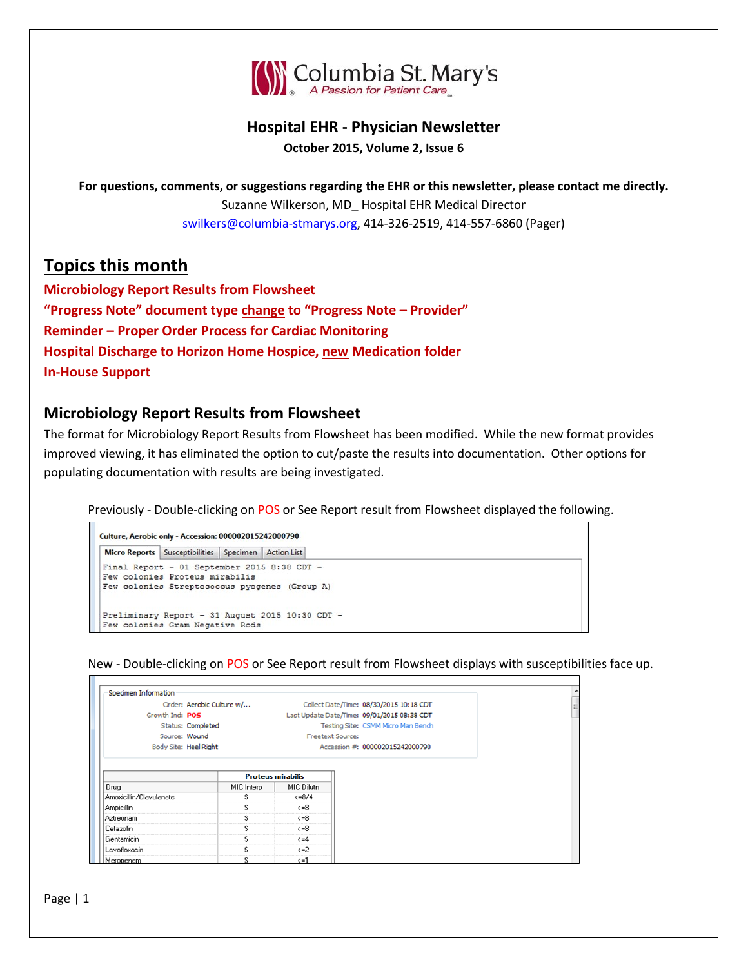

#### **Hospital EHR - Physician Newsletter October 2015, Volume 2, Issue 6**

**For questions, comments, or suggestions regarding the EHR or this newsletter, please contact me directly.** Suzanne Wilkerson, MD\_ Hospital EHR Medical Director [swilkers@columbia-stmarys.org,](mailto:swilkers@columbia-stmarys.org) 414-326-2519, 414-557-6860 (Pager)

# **Topics this month**

**Microbiology Report Results from Flowsheet "Progress Note" document type change to "Progress Note – Provider" Reminder – Proper Order Process for Cardiac Monitoring Hospital Discharge to Horizon Home Hospice, new Medication folder In-House Support**

### **Microbiology Report Results from Flowsheet**

The format for Microbiology Report Results from Flowsheet has been modified. While the new format provides improved viewing, it has eliminated the option to cut/paste the results into documentation. Other options for populating documentation with results are being investigated.

Previously - Double-clicking on POS or See Report result from Flowsheet displayed the following.

```
Culture, Aerobic only - Accession: 000002015242000790
Micro Reports Susceptibilities Specimen Action List
Final Report - 01 September 2015 8:38 CDT -
Few colonies Proteus mirabilis
Few colonies Streptococcus pyogenes (Group A)
Preliminary Report - 31 August 2015 10:30 CDT -
Few colonies Gram Negative Rods
```
New - Double-clicking on POS or See Report result from Flowsheet displays with susceptibilities face up.

| Specimen Information    |                           |                                                                                   |                                         |  |  |
|-------------------------|---------------------------|-----------------------------------------------------------------------------------|-----------------------------------------|--|--|
|                         | Order: Aerobic Culture w/ |                                                                                   | Collect Date/Time: 08/30/2015 10:18 CDT |  |  |
| Growth Ind: POS         |                           | Last Update Date/Time: 09/01/2015 08:38 CDT<br>Testing Site: CSMM Micro Man Bench |                                         |  |  |
|                         | Status: Completed         |                                                                                   |                                         |  |  |
|                         | Source: Wound             | <b>Freetext Source:</b>                                                           |                                         |  |  |
|                         | Body Site: Heel Right     |                                                                                   | Accession #: 000002015242000790         |  |  |
| Drug                    | MIC Interp                | <b>Proteus mirabilis</b><br>MIC Dilutn                                            |                                         |  |  |
|                         |                           |                                                                                   |                                         |  |  |
| Amoxicillin/Clavulanate | s                         | $\langle =8/4$                                                                    |                                         |  |  |
| Ampicillin              | s                         | $\leftarrow 8$                                                                    |                                         |  |  |
| Aztreonam               | s                         | $\leftarrow 8$                                                                    |                                         |  |  |
| Cefazolin               | s                         | $\leftarrow 8$                                                                    |                                         |  |  |
| Gentamicin              | s                         | $\leq$ = 4                                                                        |                                         |  |  |
| Levofloxacin            | s                         | $\leq$ =2                                                                         |                                         |  |  |
| Meropenem               | Ś                         | $\leq -1$                                                                         |                                         |  |  |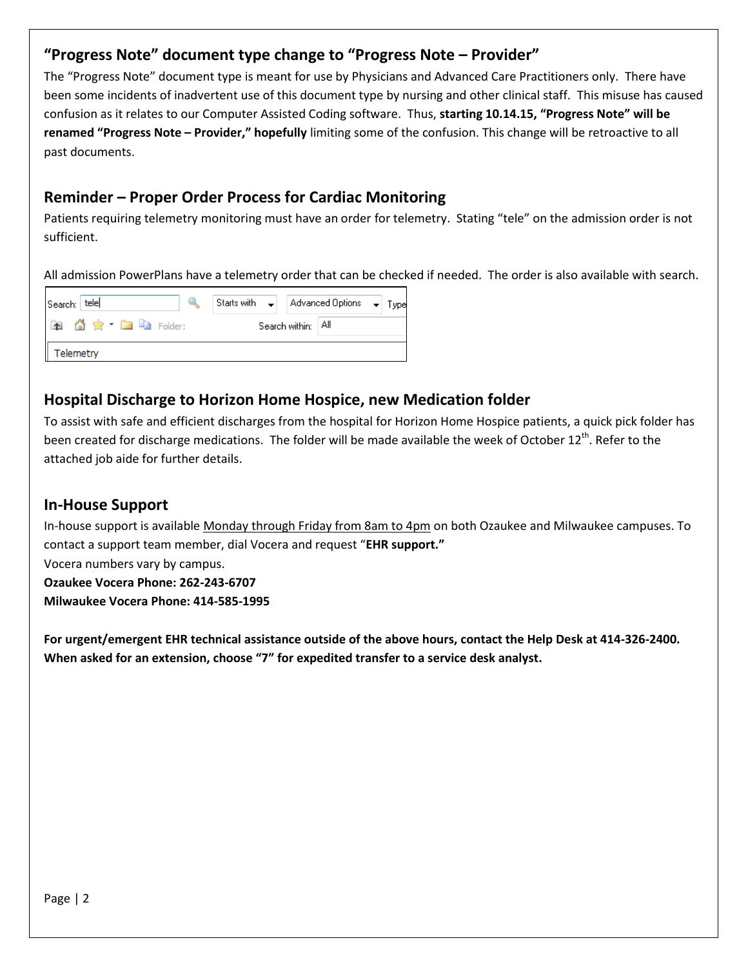# **"Progress Note" document type change to "Progress Note – Provider"**

The "Progress Note" document type is meant for use by Physicians and Advanced Care Practitioners only. There have been some incidents of inadvertent use of this document type by nursing and other clinical staff. This misuse has caused confusion as it relates to our Computer Assisted Coding software. Thus, **starting 10.14.15, "Progress Note" will be renamed "Progress Note – Provider," hopefully** limiting some of the confusion. This change will be retroactive to all past documents.

## **Reminder – Proper Order Process for Cardiac Monitoring**

Patients requiring telemetry monitoring must have an order for telemetry. Stating "tele" on the admission order is not sufficient.

All admission PowerPlans have a telemetry order that can be checked if needed. The order is also available with search.

| Search: tele          |           |  |  | Starts with $\left \bullet\right $   Advanced Options $\left \bullet\right $ Type |  |  |  |  |
|-----------------------|-----------|--|--|-----------------------------------------------------------------------------------|--|--|--|--|
| <b>面价☆ 面脑 Folder:</b> |           |  |  | Search within: All                                                                |  |  |  |  |
|                       | Telemetry |  |  |                                                                                   |  |  |  |  |

### **Hospital Discharge to Horizon Home Hospice, new Medication folder**

To assist with safe and efficient discharges from the hospital for Horizon Home Hospice patients, a quick pick folder has been created for discharge medications. The folder will be made available the week of October 12<sup>th</sup>. Refer to the attached job aide for further details.

#### **In-House Support**

In-house support is available Monday through Friday from 8am to 4pm on both Ozaukee and Milwaukee campuses. To contact a support team member, dial Vocera and request "**EHR support."** Vocera numbers vary by campus. **Ozaukee Vocera Phone: 262-243-6707 Milwaukee Vocera Phone: 414-585-1995**

**For urgent/emergent EHR technical assistance outside of the above hours, contact the Help Desk at 414-326-2400. When asked for an extension, choose "7" for expedited transfer to a service desk analyst.**